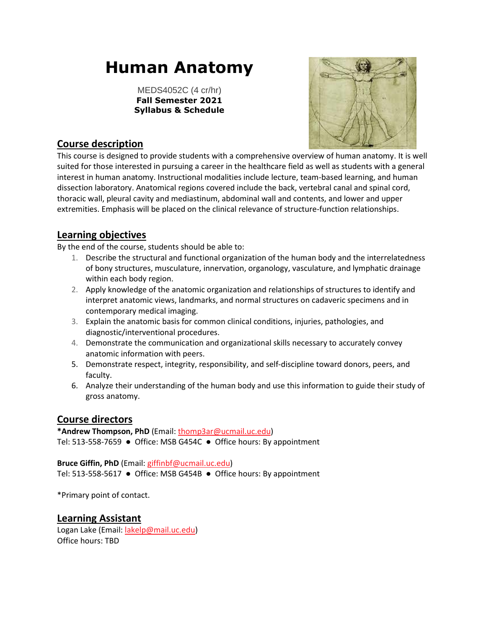# **Human Anatomy**

MEDS4052C (4 cr/hr) **Fall Semester 2021 Syllabus & Schedule**



# **Course description**

This course is designed to provide students with a comprehensive overview of human anatomy. It is well suited for those interested in pursuing a career in the healthcare field as well as students with a general interest in human anatomy. Instructional modalities include lecture, team-based learning, and human dissection laboratory. Anatomical regions covered include the back, vertebral canal and spinal cord, thoracic wall, pleural cavity and mediastinum, abdominal wall and contents, and lower and upper extremities. Emphasis will be placed on the clinical relevance of structure-function relationships.

# **Learning objectives**

By the end of the course, students should be able to:

- 1. Describe the structural and functional organization of the human body and the interrelatedness of bony structures, musculature, innervation, organology, vasculature, and lymphatic drainage within each body region.
- 2. Apply knowledge of the anatomic organization and relationships of structures to identify and interpret anatomic views, landmarks, and normal structures on cadaveric specimens and in contemporary medical imaging.
- 3. Explain the anatomic basis for common clinical conditions, injuries, pathologies, and diagnostic/interventional procedures.
- 4. Demonstrate the communication and organizational skills necessary to accurately convey anatomic information with peers.
- 5. Demonstrate respect, integrity, responsibility, and self-discipline toward donors, peers, and faculty.
- 6. Analyze their understanding of the human body and use this information to guide their study of gross anatomy.

# **Course directors**

**\*Andrew Thompson, PhD** (Email: [thomp3ar@ucmail.uc.edu\)](mailto:thomp3ar@ucmail.uc.edu) Tel: 513-558-7659 ● Office: MSB G454C ● Office hours: By appointment

#### **Bruce Giffin, PhD** (Email[: giffinbf@ucmail.uc.edu\)](mailto:giffinbf@ucmail.uc.edu)

Tel: 513-558-5617 ● Office: MSB G454B ● Office hours: By appointment

\*Primary point of contact.

#### **Learning Assistant**

Logan Lake (Email: [lakelp@mail.uc.edu\)](mailto:lakelp@mail.uc.edu) Office hours: TBD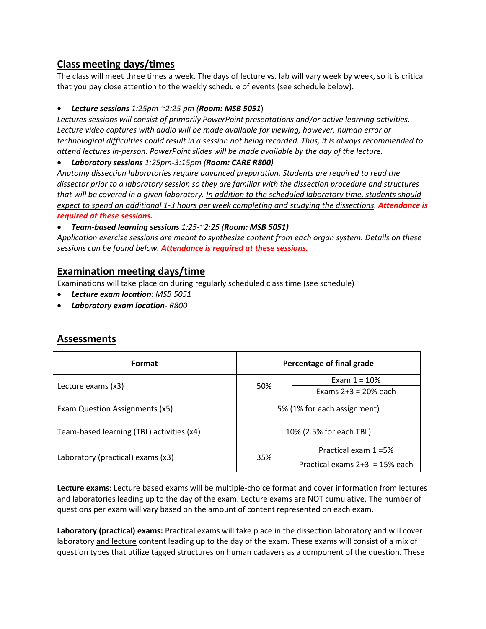# **Class meeting days/times**

The class will meet three times a week. The days of lecture vs. lab will vary week by week, so it is critical that you pay close attention to the weekly schedule of events (see schedule below).

#### • *Lecture sessions 1:25pm-~2:25 pm (Room: MSB 5051*)

*Lectures sessions will consist of primarily PowerPoint presentations and/or active learning activities. Lecture video captures with audio will be made available for viewing, however, human error or technological difficulties could result in a session not being recorded. Thus, it is always recommended to attend lectures in-person. PowerPoint slides will be made available by the day of the lecture.*

• *Laboratory sessions 1:25pm-3:15pm (Room: CARE R800)*

*Anatomy dissection laboratories require advanced preparation. Students are required to read the dissector prior to a laboratory session so they are familiar with the dissection procedure and structures that will be covered in a given laboratory. In addition to the scheduled laboratory time, students should expect to spend an additional 1-3 hours per week completing and studying the dissections. Attendance is required at these sessions.* 

• *Team-based learning sessions 1:25-~2:25 (Room: MSB 5051)*

*Application exercise sessions are meant to synthesize content from each organ system. Details on these sessions can be found below. Attendance is required at these sessions.*

# **Examination meeting days/time**

Examinations will take place on during regularly scheduled class time (see schedule)

- *Lecture exam location: MSB 5051*
- *Laboratory exam location- R800*

| Format                                    | Percentage of final grade   |                                  |  |
|-------------------------------------------|-----------------------------|----------------------------------|--|
| Lecture exams (x3)                        | 50%                         | Exam $1 = 10%$                   |  |
|                                           |                             | Exams $2+3 = 20\%$ each          |  |
| Exam Question Assignments (x5)            | 5% (1% for each assignment) |                                  |  |
| Team-based learning (TBL) activities (x4) | 10% (2.5% for each TBL)     |                                  |  |
|                                           |                             | Practical exam 1 = 5%            |  |
| Laboratory (practical) exams (x3)         | 35%                         | Practical exams $2+3 = 15%$ each |  |

#### **Assessments**

**Lecture exams**: Lecture based exams will be multiple-choice format and cover information from lectures and laboratories leading up to the day of the exam. Lecture exams are NOT cumulative. The number of questions per exam will vary based on the amount of content represented on each exam.

**Laboratory (practical) exams:** Practical exams will take place in the dissection laboratory and will cover laboratory and lecture content leading up to the day of the exam. These exams will consist of a mix of question types that utilize tagged structures on human cadavers as a component of the question. These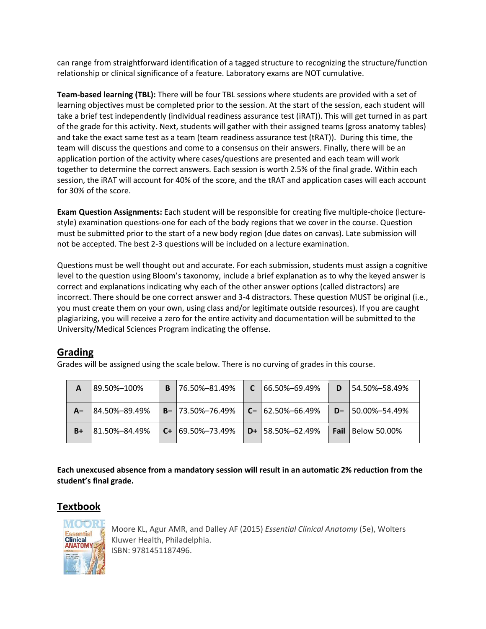can range from straightforward identification of a tagged structure to recognizing the structure/function relationship or clinical significance of a feature. Laboratory exams are NOT cumulative.

**Team-based learning (TBL):** There will be four TBL sessions where students are provided with a set of learning objectives must be completed prior to the session. At the start of the session, each student will take a brief test independently (individual readiness assurance test (iRAT)). This will get turned in as part of the grade for this activity. Next, students will gather with their assigned teams (gross anatomy tables) and take the exact same test as a team (team readiness assurance test (tRAT)). During this time, the team will discuss the questions and come to a consensus on their answers. Finally, there will be an application portion of the activity where cases/questions are presented and each team will work together to determine the correct answers. Each session is worth 2.5% of the final grade. Within each session, the iRAT will account for 40% of the score, and the tRAT and application cases will each account for 30% of the score.

**Exam Question Assignments:** Each student will be responsible for creating five multiple-choice (lecturestyle) examination questions-one for each of the body regions that we cover in the course. Question must be submitted prior to the start of a new body region (due dates on canvas). Late submission will not be accepted. The best 2-3 questions will be included on a lecture examination.

Questions must be well thought out and accurate. For each submission, students must assign a cognitive level to the question using Bloom's taxonomy, include a brief explanation as to why the keyed answer is correct and explanations indicating why each of the other answer options (called distractors) are incorrect. There should be one correct answer and 3-4 distractors. These question MUST be original (i.e., you must create them on your own, using class and/or legitimate outside resources). If you are caught plagiarizing, you will receive a zero for the entire activity and documentation will be submitted to the University/Medical Sciences Program indicating the offense.

# **Grading**

Grades will be assigned using the scale below. There is no curving of grades in this course.

|    | 189.50%-100%   | В | l 76.50%–81.49%          | $C$ 166.50%-69.49%       |      | 154.50%-58.49%      |
|----|----------------|---|--------------------------|--------------------------|------|---------------------|
| A- | 184.50%-89.49% |   | $B - 173.50\% - 76.49\%$ | $ C - 62.50\% - 66.49\%$ | $D-$ | 50.00%-54.49%       |
| B+ | 81.50%-84.49%  |   | $C + 169.50\% - 73.49\%$ | $D + 158.50\% - 62.49\%$ | Fail | <b>Below 50.00%</b> |

**Each unexcused absence from a mandatory session will result in an automatic 2% reduction from the student's final grade.**

# **Textbook**



Moore KL, Agur AMR, and Dalley AF (2015) *Essential Clinical Anatomy* (5e), Wolters Kluwer Health, Philadelphia. ISBN: 9781451187496.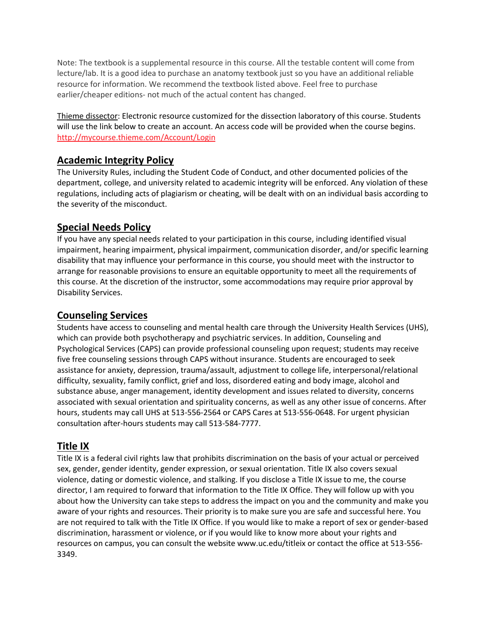Note: The textbook is a supplemental resource in this course. All the testable content will come from lecture/lab. It is a good idea to purchase an anatomy textbook just so you have an additional reliable resource for information. We recommend the textbook listed above. Feel free to purchase earlier/cheaper editions- not much of the actual content has changed.

Thieme dissector: Electronic resource customized for the dissection laboratory of this course. Students will use the link below to create an account. An access code will be provided when the course begins. <http://mycourse.thieme.com/Account/Login>

# **Academic Integrity Policy**

The University Rules, including the Student Code of Conduct, and other documented policies of the department, college, and university related to academic integrity will be enforced. Any violation of these regulations, including acts of plagiarism or cheating, will be dealt with on an individual basis according to the severity of the misconduct.

# **Special Needs Policy**

If you have any special needs related to your participation in this course, including identified visual impairment, hearing impairment, physical impairment, communication disorder, and/or specific learning disability that may influence your performance in this course, you should meet with the instructor to arrange for reasonable provisions to ensure an equitable opportunity to meet all the requirements of this course. At the discretion of the instructor, some accommodations may require prior approval by Disability Services.

## **Counseling Services**

Students have access to counseling and mental health care through the University Health Services (UHS), which can provide both psychotherapy and psychiatric services. In addition, Counseling and Psychological Services (CAPS) can provide professional counseling upon request; students may receive five free counseling sessions through CAPS without insurance. Students are encouraged to seek assistance for anxiety, depression, trauma/assault, adjustment to college life, interpersonal/relational difficulty, sexuality, family conflict, grief and loss, disordered eating and body image, alcohol and substance abuse, anger management, identity development and issues related to diversity, concerns associated with sexual orientation and spirituality concerns, as well as any other issue of concerns. After hours, students may call UHS at 513-556-2564 or CAPS Cares at 513-556-0648. For urgent physician consultation after-hours students may call 513-584-7777.

# **Title IX**

Title IX is a federal civil rights law that prohibits discrimination on the basis of your actual or perceived sex, gender, gender identity, gender expression, or sexual orientation. Title IX also covers sexual violence, dating or domestic violence, and stalking. If you disclose a Title IX issue to me, the course director, I am required to forward that information to the Title IX Office. They will follow up with you about how the University can take steps to address the impact on you and the community and make you aware of your rights and resources. Their priority is to make sure you are safe and successful here. You are not required to talk with the Title IX Office. If you would like to make a report of sex or gender-based discrimination, harassment or violence, or if you would like to know more about your rights and resources on campus, you can consult the website www.uc.edu/titleix or contact the office at 513-556- 3349.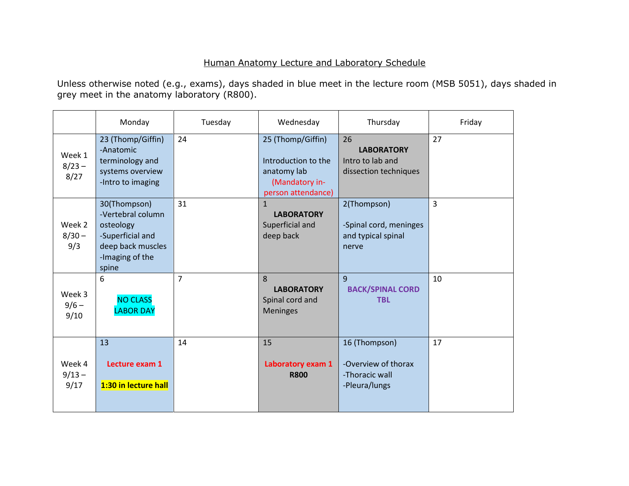## Human Anatomy Lecture and Laboratory Schedule

Unless otherwise noted (e.g., exams), days shaded in blue meet in the lecture room (MSB 5051), days shaded in grey meet in the anatomy laboratory (R800).

|                            | Monday                                                                                                              | Tuesday        | Wednesday                                                                                       | Thursday                                                                | Friday         |
|----------------------------|---------------------------------------------------------------------------------------------------------------------|----------------|-------------------------------------------------------------------------------------------------|-------------------------------------------------------------------------|----------------|
| Week 1<br>$8/23 -$<br>8/27 | 23 (Thomp/Giffin)<br>-Anatomic<br>terminology and<br>systems overview<br>-Intro to imaging                          | 24             | 25 (Thomp/Giffin)<br>Introduction to the<br>anatomy lab<br>(Mandatory in-<br>person attendance) | 26<br><b>LABORATORY</b><br>Intro to lab and<br>dissection techniques    | 27             |
| Week 2<br>$8/30 -$<br>9/3  | 30(Thompson)<br>-Vertebral column<br>osteology<br>-Superficial and<br>deep back muscles<br>-Imaging of the<br>spine | 31             | $\mathbf{1}$<br><b>LABORATORY</b><br>Superficial and<br>deep back                               | 2(Thompson)<br>-Spinal cord, meninges<br>and typical spinal<br>nerve    | $\overline{3}$ |
| Week 3<br>$9/6 -$<br>9/10  | 6<br><b>NO CLASS</b><br><b>LABOR DAY</b>                                                                            | $\overline{7}$ | 8<br><b>LABORATORY</b><br>Spinal cord and<br><b>Meninges</b>                                    | 9<br><b>BACK/SPINAL CORD</b><br><b>TBL</b>                              | 10             |
| Week 4<br>$9/13 -$<br>9/17 | 13<br>Lecture exam 1<br>1:30 in lecture hall                                                                        | 14             | 15<br>Laboratory exam 1<br><b>R800</b>                                                          | 16 (Thompson)<br>-Overview of thorax<br>-Thoracic wall<br>-Pleura/lungs | 17             |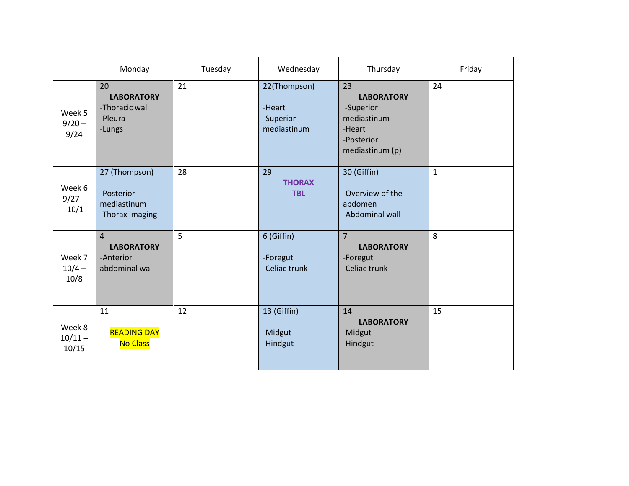|                              | Monday                                                             | Tuesday | Wednesday                                          | Thursday                                                                                       | Friday       |
|------------------------------|--------------------------------------------------------------------|---------|----------------------------------------------------|------------------------------------------------------------------------------------------------|--------------|
| Week 5<br>$9/20 -$<br>9/24   | 20<br><b>LABORATORY</b><br>-Thoracic wall<br>-Pleura<br>-Lungs     | 21      | 22(Thompson)<br>-Heart<br>-Superior<br>mediastinum | 23<br><b>LABORATORY</b><br>-Superior<br>mediastinum<br>-Heart<br>-Posterior<br>mediastinum (p) | 24           |
| Week 6<br>$9/27 -$<br>10/1   | 27 (Thompson)<br>-Posterior<br>mediastinum<br>-Thorax imaging      | 28      | 29<br><b>THORAX</b><br><b>TBL</b>                  | 30 (Giffin)<br>-Overview of the<br>abdomen<br>-Abdominal wall                                  | $\mathbf{1}$ |
| Week 7<br>$10/4 -$<br>10/8   | $\overline{4}$<br><b>LABORATORY</b><br>-Anterior<br>abdominal wall | 5       | 6 (Giffin)<br>-Foregut<br>-Celiac trunk            | $\overline{7}$<br><b>LABORATORY</b><br>-Foregut<br>-Celiac trunk                               | 8            |
| Week 8<br>$10/11 -$<br>10/15 | 11<br><b>READING DAY</b><br><b>No Class</b>                        | 12      | 13 (Giffin)<br>-Midgut<br>-Hindgut                 | 14<br><b>LABORATORY</b><br>-Midgut<br>-Hindgut                                                 | 15           |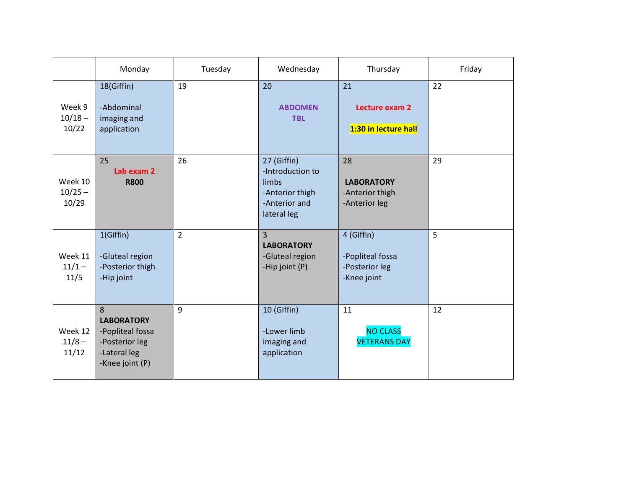|                               | Monday                                                                                          | Tuesday        | Wednesday                                                                                   | Thursday                                                        | Friday |
|-------------------------------|-------------------------------------------------------------------------------------------------|----------------|---------------------------------------------------------------------------------------------|-----------------------------------------------------------------|--------|
| Week 9<br>$10/18 -$<br>10/22  | 18(Giffin)<br>-Abdominal<br>imaging and<br>application                                          | 19             | 20<br><b>ABDOMEN</b><br><b>TBL</b>                                                          | 21<br>Lecture exam 2<br>1:30 in lecture hall                    | 22     |
| Week 10<br>$10/25 -$<br>10/29 | 25<br>Lab exam 2<br><b>R800</b>                                                                 | 26             | 27 (Giffin)<br>-Introduction to<br>limbs<br>-Anterior thigh<br>-Anterior and<br>lateral leg | 28<br><b>LABORATORY</b><br>-Anterior thigh<br>-Anterior leg     | 29     |
| Week 11<br>$11/1 -$<br>11/5   | 1(Giffin)<br>-Gluteal region<br>-Posterior thigh<br>-Hip joint                                  | $\overline{2}$ | $\overline{3}$<br><b>LABORATORY</b><br>-Gluteal region<br>-Hip joint (P)                    | 4 (Giffin)<br>-Popliteal fossa<br>-Posterior leg<br>-Knee joint | 5      |
| Week 12<br>$11/8 -$<br>11/12  | 8<br><b>LABORATORY</b><br>-Popliteal fossa<br>-Posterior leg<br>-Lateral leg<br>-Knee joint (P) | 9              | 10 (Giffin)<br>-Lower limb<br>imaging and<br>application                                    | 11<br><b>NO CLASS</b><br><b>VETERANS DAY</b>                    | 12     |